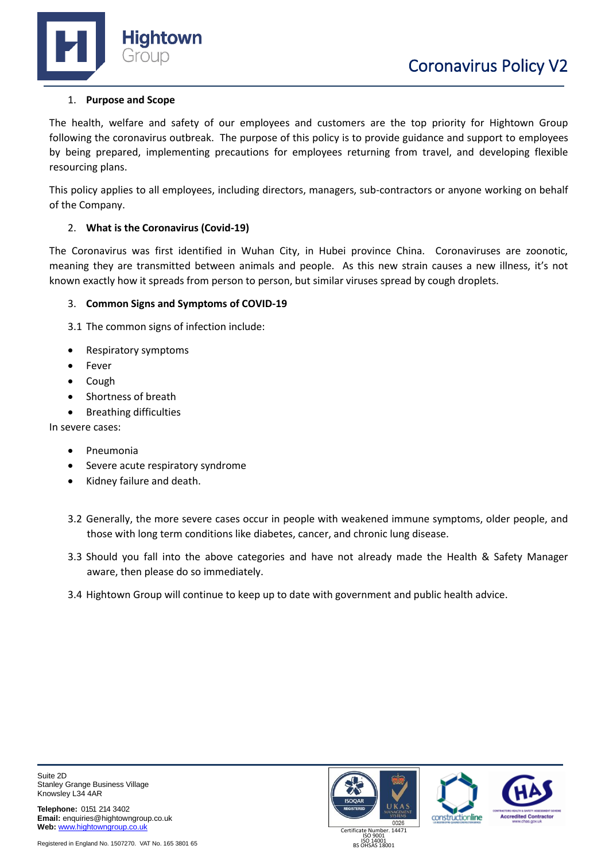



# 1. **Purpose and Scope**

The health, welfare and safety of our employees and customers are the top priority for Hightown Group following the coronavirus outbreak. The purpose of this policy is to provide guidance and support to employees by being prepared, implementing precautions for employees returning from travel, and developing flexible resourcing plans.

This policy applies to all employees, including directors, managers, sub-contractors or anyone working on behalf of the Company.

## 2. **What is the Coronavirus (Covid-19)**

The Coronavirus was first identified in Wuhan City, in Hubei province China. Coronaviruses are zoonotic, meaning they are transmitted between animals and people. As this new strain causes a new illness, it's not known exactly how it spreads from person to person, but similar viruses spread by cough droplets.

## 3. **Common Signs and Symptoms of COVID-19**

3.1 The common signs of infection include:

- Respiratory symptoms
- **Fever**
- Cough
- Shortness of breath
- Breathing difficulties

In severe cases:

- Pneumonia
- Severe acute respiratory syndrome
- Kidney failure and death.
- 3.2 Generally, the more severe cases occur in people with weakened immune symptoms, older people, and those with long term conditions like diabetes, cancer, and chronic lung disease.
- 3.3 Should you fall into the above categories and have not already made the Health & Safety Manager aware, then please do so immediately.
- 3.4 Hightown Group will continue to keep up to date with government and public health advice.

**Telephone:** 0151 214 3402 **Email:** enquiries@hightowngroup.co.uk **Web:** [www.hightowngroup.co.uk](http://www.hightowngroup.co.uk/)

Registered in England No. 1507270. VAT No. 165 3801 65





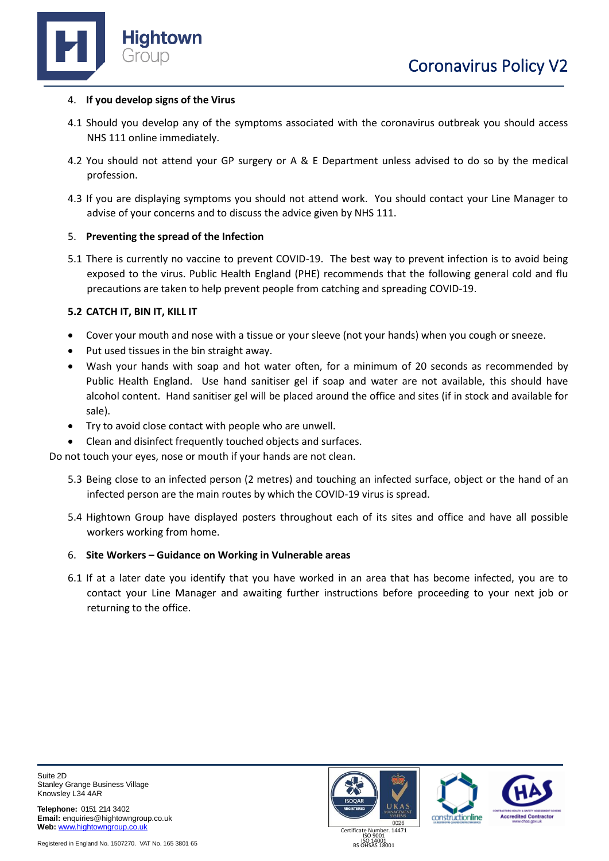

### 4. **If you develop signs of the Virus**

- 4.1 Should you develop any of the symptoms associated with the coronavirus outbreak you should access NHS 111 online immediately.
- 4.2 You should not attend your GP surgery or A & E Department unless advised to do so by the medical profession.
- 4.3 If you are displaying symptoms you should not attend work. You should contact your Line Manager to advise of your concerns and to discuss the advice given by NHS 111.

## 5. **Preventing the spread of the Infection**

5.1 There is currently no vaccine to prevent COVID-19. The best way to prevent infection is to avoid being exposed to the virus. Public Health England (PHE) recommends that the following general cold and flu precautions are taken to help prevent people from catching and spreading COVID-19.

## **5.2 CATCH IT, BIN IT, KILL IT**

- Cover your mouth and nose with a tissue or your sleeve (not your hands) when you cough or sneeze.
- Put used tissues in the bin straight away.
- Wash your hands with soap and hot water often, for a minimum of 20 seconds as recommended by Public Health England. Use hand sanitiser gel if soap and water are not available, this should have alcohol content. Hand sanitiser gel will be placed around the office and sites (if in stock and available for sale).
- Try to avoid close contact with people who are unwell.
- Clean and disinfect frequently touched objects and surfaces.

Do not touch your eyes, nose or mouth if your hands are not clean.

- 5.3 Being close to an infected person (2 metres) and touching an infected surface, object or the hand of an infected person are the main routes by which the COVID-19 virus is spread.
- 5.4 Hightown Group have displayed posters throughout each of its sites and office and have all possible workers working from home.

#### 6. **Site Workers – Guidance on Working in Vulnerable areas**

6.1 If at a later date you identify that you have worked in an area that has become infected, you are to contact your Line Manager and awaiting further instructions before proceeding to your next job or returning to the office.

Suite 2D Stanley Grange Business Village Knowsley L34 4AR

**Telephone:** 0151 214 3402 **Email:** enquiries@hightowngroup.co.uk **Web:** [www.hightowngroup.co.uk](http://www.hightowngroup.co.uk/)







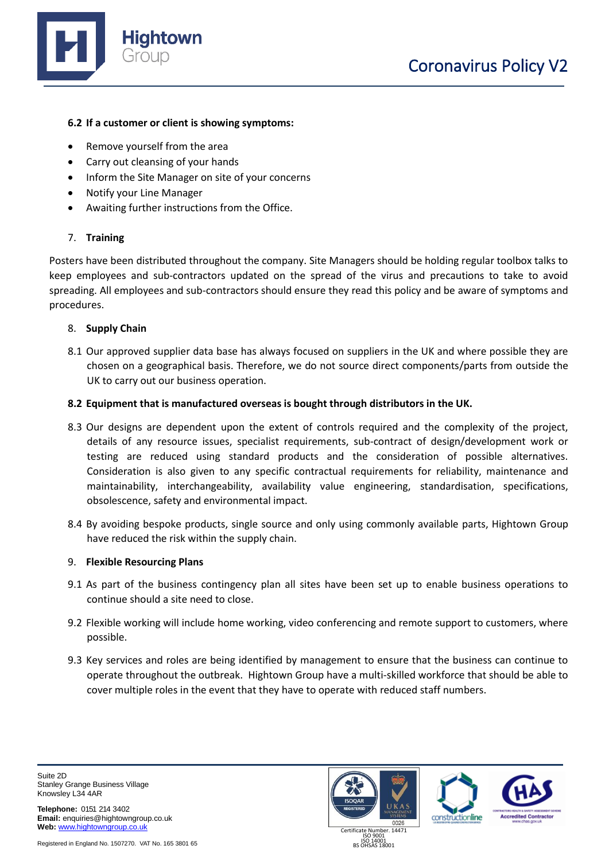

### **6.2 If a customer or client is showing symptoms:**

- Remove yourself from the area
- Carry out cleansing of your hands
- Inform the Site Manager on site of your concerns
- Notify your Line Manager
- Awaiting further instructions from the Office.

## 7. **Training**

Posters have been distributed throughout the company. Site Managers should be holding regular toolbox talks to keep employees and sub-contractors updated on the spread of the virus and precautions to take to avoid spreading. All employees and sub-contractors should ensure they read this policy and be aware of symptoms and procedures.

## 8. **Supply Chain**

8.1 Our approved supplier data base has always focused on suppliers in the UK and where possible they are chosen on a geographical basis. Therefore, we do not source direct components/parts from outside the UK to carry out our business operation.

#### **8.2 Equipment that is manufactured overseas is bought through distributors in the UK.**

- 8.3 Our designs are dependent upon the extent of controls required and the complexity of the project, details of any resource issues, specialist requirements, sub-contract of design/development work or testing are reduced using standard products and the consideration of possible alternatives. Consideration is also given to any specific contractual requirements for reliability, maintenance and maintainability, interchangeability, availability value engineering, standardisation, specifications, obsolescence, safety and environmental impact.
- 8.4 By avoiding bespoke products, single source and only using commonly available parts, Hightown Group have reduced the risk within the supply chain.

#### 9. **Flexible Resourcing Plans**

- 9.1 As part of the business contingency plan all sites have been set up to enable business operations to continue should a site need to close.
- 9.2 Flexible working will include home working, video conferencing and remote support to customers, where possible.
- 9.3 Key services and roles are being identified by management to ensure that the business can continue to operate throughout the outbreak. Hightown Group have a multi-skilled workforce that should be able to cover multiple roles in the event that they have to operate with reduced staff numbers.

Suite 2D Stanley Grange Business Village Knowsley L34 4AR

**Telephone:** 0151 214 3402 **Email:** enquiries@hightowngroup.co.uk **Web:** [www.hightowngroup.co.uk](http://www.hightowngroup.co.uk/)